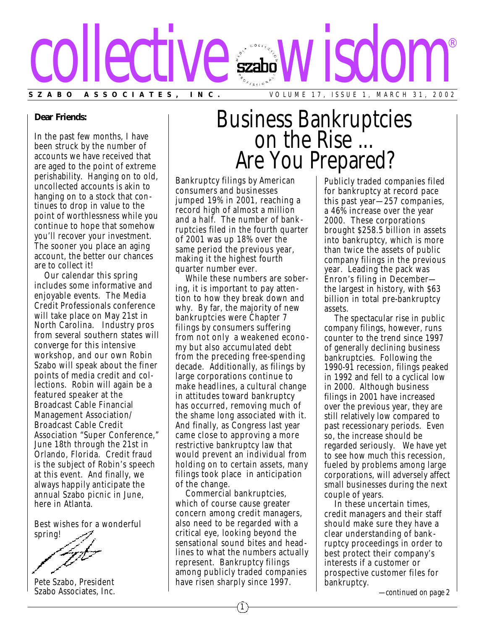

### **Dear Friends:**

In the past few months, I have been struck by the number of accounts we have received that are aged to the point of extreme perishability. Hanging on to old, uncollected accounts is akin to hanging on to a stock that continues to drop in value to the point of worthlessness while you continue to hope that somehow you'll recover your investment. The sooner you place an aging account, the better our chances are to collect it!

Our calendar this spring includes some informative and enjoyable events. The Media Credit Professionals conference will take place on May 21st in North Carolina. Industry pros from several southern states will converge for this intensive workshop, and our own Robin Szabo will speak about the finer points of media credit and collections. Robin will again be a featured speaker at the Broadcast Cable Financial Management Association/ Broadcast Cable Credit Association "Super Conference," June 18th through the 21st in Orlando, Florida. Credit fraud is the subject of Robin's speech at this event. And finally, we always happily anticipate the annual Szabo picnic in June, here in Atlanta.

Best wishes for a wonderful

spring!

Pete Szabo, President Szabo Associates, Inc.

# Business Bankruptcies on the Rise ... Are You Prepared?

Bankruptcy filings by American consumers and businesses jumped 19% in 2001, reaching a record high of almost a million and a half. The number of bank ruptcies filed in the fourth quarter of 2001 was up 18% over the same period the previous year, making it the highest fourth quarter number ever.

While these numbers are sobering, it is important to pay attention to how they break down and why. By far, the majority of new bankruptcies were Chapter 7 filings by consumers suffering from not only a weakened econo my but also accumulated debt from the preceding free-spending decade. Additionally, as filings by large corporations continue to make headlines, a cultural change in attitudes toward bankruptcy has occurred, removing much of the shame long associated with it. And finally, as Congress last year came close to approving a more restrictive bankruptcy law that would prevent an individual from holding on to certain assets, many filings took place in anticipation of the change.

Commercial bankruptcies, which of course cause greater concern among credit managers, also need to be regarded with a critical eye, looking beyond the sensational sound bites and headlines to what the numbers actually represent. Bankruptcy filings among publicly traded companies have risen sharply since 1997.

Publicly traded companies filed for bankruptcy at record pace this past year—257 companies, a 46% increase over the year 2000. These corporations brought \$258.5 billion in assets into bankruptcy, which is more than twice the assets of public company filings in the previous year. Leading the pack was Enron's filing in December the largest in history, with \$63 billion in total pre-bankruptcy assets.

The spectacular rise in public company filings, however, runs counter to the trend since 1997 of generally declining business bankruptcies. Following the 1990-91 recession, filings peaked in 1992 and fell to a cyclical low in 2000. Although business filings in 2001 have increased over the previous year, they are still relatively low compared to past recessionary periods. Even so, the increase should be regarded seriously. We have yet to see how much this recession, fueled by problems among large corporations, will adversely affect small businesses during the next couple of years.

In these uncertain times, credit managers and their staff should make sure they have a clear understanding of bankruptcy proceedings in order to best protect their company's interests if a customer or prospective customer files for bankruptcy.

*—continued on page 2*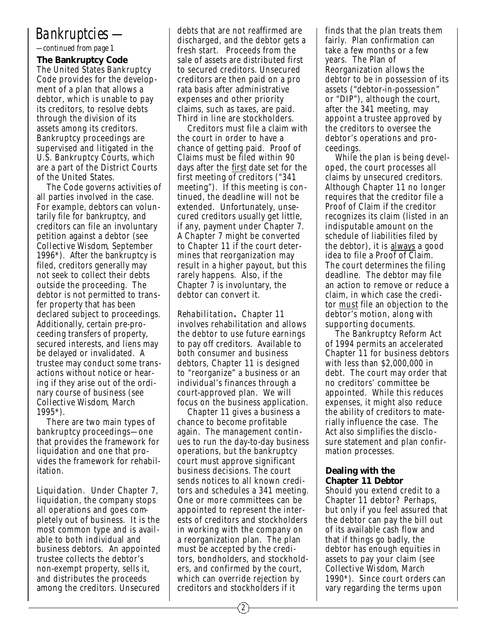## *Bankruptcies —*

*—continued from page 1*

**The Bankruptcy Code** The United States Bankruptcy Code provides for the development of a plan that allows a debtor, which is unable to pay its creditors, to resolve debts through the division of its assets among its creditors. Bankruptcy proceedings are supervised and litigated in the U.S. Bankruptcy Courts, which are a part of the District Courts of the United States.

The Code governs activities of all parties involved in the case. For example, debtors can voluntarily file for bankruptcy, and creditors can file an involuntary petition against a debtor (see *Collective Wisdom*, September 1996\*). After the bankruptcy is filed, creditors generally may not seek to collect their debts outside the proceeding. The debtor is not permitted to trans fer property that has been declared subject to proceedings. Additionally, certain pre-proceeding transfers of property, secured interests, and liens may be delayed or invalidated. A trustee may conduct some trans actions without notice or hearing if they arise out of the ordinary course of business (see *Collective Wisdom*, March 1995\*).

There are two main types of bankruptcy proceedings—one that provides the framework for liquidation and one that provides the framework for rehabilitation.

*Liquidation*. Under Chapter 7, liquidation, the company stops all operations and goes completely out of business. It is the most common type and is available to both individual and business debtors. An appointed trustee collects the debtor's non-exempt property, sells it, and distributes the proceeds among the creditors. Unsecured debts that are not reaffirmed are discharged, and the debtor gets a fresh start. Proceeds from the sale of assets are distributed first to secured creditors. Unsecured creditors are then paid on a pro rata basis after administrative expenses and other priority claims, such as taxes, are paid. Third in line are stockholders.

Creditors must file a claim with the court in order to have a chance of getting paid. Proof of Claims must be filed within 90 days after the first date set for the first meeting of creditors ("341 meeting"). If this meeting is continued, the deadline will not be extended. Unfortunately, unsecured creditors usually get little, if any, payment under Chapter 7. A Chapter 7 might be converted to Chapter 11 if the court determines that reorganization may result in a higher payout, but this rarely happens. Also, if the Chapter 7 is involuntary, the debtor can convert it.

*Rehabilitation.* Chapter 11 involves rehabilitation and allows the debtor to use future earnings to pay off creditors. Available to both consumer and business debtors, Chapter 11 is designed to "reorganize" a business or an individual's finances through a court-approved plan. We will focus on the business application.

Chapter 11 gives a business a chance to become profitable again. The management continues to run the day-to-day business operations, but the bankruptcy court must approve significant business decisions. The court sends notices to all known creditors and schedules a 341 meeting. One or more committees can be appointed to represent the interests of creditors and stockholders in working with the company on a reorganization plan. The plan must be accepted by the creditors, bondholders, and stockholders, and confirmed by the court, which can override rejection by creditors and stockholders if it

finds that the plan treats them fairly. Plan confirmation can take a few months or a few years. The Plan of Reorganization allows the debtor to be in possession of its assets ("debtor-in-possession" or "DIP"), although the court, after the 341 meeting, may appoint a trustee approved by the creditors to oversee the debtor's operations and proceedings.

While the plan is being developed, the court processes all claims by unsecured creditors. Although Chapter 11 no longer requires that the creditor file a Proof of Claim if the creditor recognizes its claim (listed in an indisputable amount on the schedule of liabilities filed by the debtor), it is always a good idea to file a Proof of Claim. The court determines the filing deadline. The debtor may file an action to remove or reduce a claim, in which case the creditor must file an objection to the debtor's motion, along with supporting documents.

The Bankruptcy Reform Act of 1994 permits an accelerated Chapter 11 for business debtors with less than \$2,000,000 in debt. The court may order that no creditors' committee be appointed. While this reduces expenses, it might also reduce the ability of creditors to materially influence the case. The Act also simplifies the disclosure statement and plan confirmation processes.

### **Dealing with the Chapter 11 Debtor**

Should you extend credit to a Chapter 11 debtor? Perhaps, but only if you feel assured that the debtor can pay the bill out of its available cash flow and that if things go badly, the debtor has enough equities in assets to pay your claim (see *Collective Wisdom*, March 1990\*). Since court orders can vary regarding the terms upon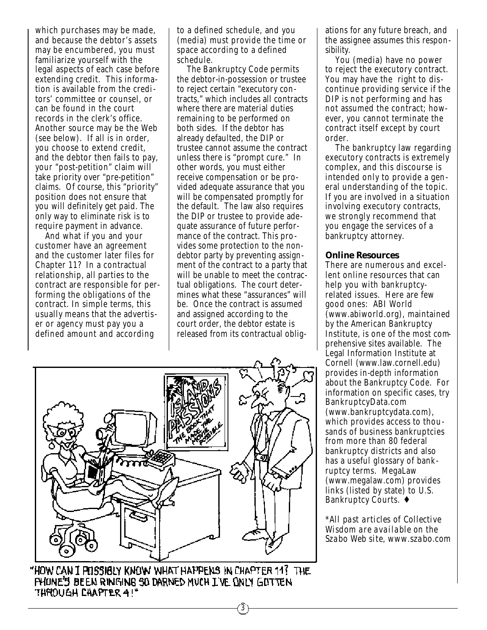which purchases may be made, and because the debtor's assets may be encumbered, you must familiarize yourself with the legal aspects of each case before extending credit. This information is available from the creditors' committee or counsel, or can be found in the court records in the clerk's office. Another source may be the Web (see below). If all is in order, you choose to extend credit, and the debtor then fails to pay, your "post-petition" claim will take priority over "pre-petition" claims. Of course, this "priority" position does not ensure that you will definitely get paid. The only way to eliminate risk is to require payment in advance.

And what if you and your customer have an agreement and the customer later files for Chapter 11? In a contractual relationship, all parties to the contract are responsible for performing the obligations of the contract. In simple terms, this usually means that the advertis er or agency must pay you a defined amount and according

to a defined schedule, and you (media) must provide the time or space according to a defined schedule.

The Bankruptcy Code permits the debtor-in-possession or trustee to reject certain "executory contracts," which includes all contracts where there are material duties remaining to be performed on both sides. If the debtor has already defaulted, the DIP or trustee cannot assume the contract unless there is "prompt cure." In other words, you must either receive compensation or be provided adequate assurance that you will be compensated promptly for the default. The law also requires the DIP or trustee to provide adequate assurance of future performance of the contract. This provides some protection to the nondebtor party by preventing assignment of the contract to a party that will be unable to meet the contractual obligations. The court determines what these "assurances" will be. Once the contract is assumed and assigned according to the court order, the debtor estate is released from its contractual oblig-



"HOW CAN I POSSIBLY KNOW WHAT HAPPENS IN CHAPTER 11? THE PHONE'S BEEN RINGING SO DARNED MUCH I'VE ONLY GOTTEN THROUGH CHAPTER 4!"

3

ations for any future breach, and the assignee assumes this responsibility.

You (media) have no power to reject the executory contract. You may have the right to dis continue providing service if the DIP is not performing and has not assumed the contract; however, you cannot terminate the contract itself except by court order.

The bankruptcy law regarding executory contracts is extremely complex, and this discourse is intended only to provide a general understanding of the topic. If you are involved in a situation involving executory contracts, we strongly recommend that you engage the services of a bankruptcy attorney.

### **Online Resources**

There are numerous and excellent online resources that can help you with bankruptcyrelated issues. Here are few good ones: ABI World (www.abiworld.org), maintained by the American Bankruptcy Institute, is one of the most comprehensive sites available. The Legal Information Institute at Cornell (www.law.cornell.edu) provides in-depth information about the Bankruptcy Code. For information on specific cases, try BankruptcyData.com (www.bankruptcydata.com), which provides access to thousands of business bankruptcies from more than 80 federal bankruptcy districts and also has a useful glossary of bank ruptcy terms. MegaLaw (www.megalaw.com) provides links (listed by state) to U.S. Bankruptcy Courts. ♦

*\*All past articles of Collective Wisdom are available on the Szabo Web site, www.szabo.com*